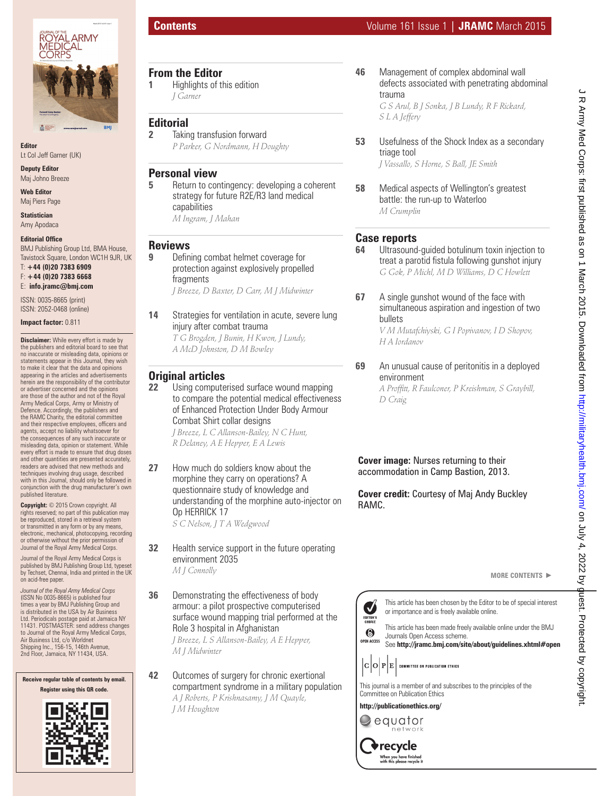

**Editor** Lt Col Jeff Garner (UK)

**Deputy Editor**

Maj Johno Breeze

**Web Editor**  Maj Piers Page

**Statistician** Amy Apodaca

#### **Editorial Office**

BMJ Publishing Group Ltd, BMA House, Tavistock Square, London WC1H 9JR, UK

T: **+44 (0)20 7383 6909**  F: **+44 (0)20 7383 6668**

E: **info.jramc@bmj.com**

ISSN: 0035-8665 (print) ISSN: 2052-0468 (online)

**Impact factor:** 0.811

**Disclaimer:** While every effort is made by the publishers and editorial board to see that no inaccurate or misleading data, opinions or statements appear in this Journal, they wish to make it clear that the data and opinions appearing in the articles and advertisements herein are the responsibility of the contributor or advertiser concerned and the opinions are those of the author and not of the Royal Army Medical Corps, Army or Ministry of Defence. Accordingly, the publishers and the RAMC Charity, the editorial committee and their respective employees, officers and agents, accept no liability whatsoever for the consequences of any such inaccurate or misleading data, opinion or statement. While every effort is made to ensure that drug doses and other quantities are presented accurately, readers are advised that new methods and techniques involving drug usage, described with in this Journal, should only be followed in conjunction with the drug manufacturer's own published literature.

**Copyright:** © 2015 Crown copyright. All rights reserved; no part of this publication may be reproduced, stored in a retrieval system or transmitted in any form or by any means, electronic, mechanical, photocopying, recording or otherwise without the prior permission of Journal of the Royal Army Medical Corps.

Journal of the Royal Army Medical Corps is published by BMJ Publishing Group Ltd, typeset by Techset, Chennai, India and printed in the UK on acid-free paper.

*Journal of the Royal Army Medical Corps*  (ISSN No 0035-8665) is published four times a year by BMJ Publishing Group and is distributed in the USA by Air Business Ltd. Periodicals postage paid at Jamaica NY 11431. POSTMASTER: send address changes to Journal of the Royal Army Medical Corps, Air Business Ltd, c/o Worldnet Shipping Inc., 156-15, 146th Avenue, 2nd Floor, Jamaica, NY 11434, USA.

**Receive regular table of contents by email. Register using this QR code.**



- **From the Editor**
- **1 Highlights of this edition** *J Garner*

**Editorial 2** Taking transfusion forward *P Parker, G Nordmann, H Doughty*

#### **Personal view**

**5 Return to contingency: developing a coherent** strategy for future R2E/R3 land medical capabilities *M Ingram, J Mahan*

#### **Reviews**

**9** Defining combat helmet coverage for protection against explosively propelled fragments *J Breeze, D Baxter, D Carr, M J Midwinter*

**14** Strategies for ventilation in acute, severe lung injury after combat trauma *T G Brogden, J Bunin, H Kwon, J Lundy, A McD Johnston, D M Bowley*

## **Original articles**

- **22** Using computerised surface wound mapping to compare the potential medical effectiveness of Enhanced Protection Under Body Armour Combat Shirt collar designs *J Breeze, L C Allanson-Bailey, N C Hunt, R Delaney, A E Hepper, E A Lewis*
- **27** How much do soldiers know about the morphine they carry on operations? A questionnaire study of knowledge and understanding of the morphine auto-injector on Op HERRICK 17 *S C Nelson, J T A Wedgwood*
- **32** Health service support in the future operating environment 2035 *M J Connolly*
	-
- **36** Demonstrating the effectiveness of body armour: a pilot prospective computerised surface wound mapping trial performed at the Role 3 hospital in Afghanistan

*J Breeze, L S Allanson-Bailey, A E Hepper, M J Midwinter*

**42** Outcomes of surgery for chronic exertional compartment syndrome in a military population *A J Roberts, P Krishnasamy, J M Quayle, J M Houghton*

**46** Management of complex abdominal wall defects associated with penetrating abdominal trauma *G S Arul, B J Sonka, J B Lundy, R F Rickard,* 

*S L A Jeffery*

**53** Usefulness of the Shock Index as a secondary triage tool

*J Vassallo, S Horne, S Ball, JE Smith*

**58** Medical aspects of Wellington's greatest battle: the run-up to Waterloo *M Crumplin*

### **Case reports**

- **64** Ultrasound-guided botulinum toxin injection to treat a parotid fistula following gunshot injury *G Gok, P Michl, M D Williams, D C Howlett*
- **67** A single gunshot wound of the face with simultaneous aspiration and ingestion of two bullets

*V M Mutafchiyski, G I Popivanov, I D Shopov, H A Iordanov*

#### **69** An unusual cause of peritonitis in a deployed environment

*A Proffi tt, R Faulconer, P Kreishman, S Graybill, D Craig*

**Cover image:** Nurses returning to their accommodation in Camp Bastion, 2013.

**Cover credit:** Courtesy of Maj Andy Buckley RAMC.



 $|\mathbf{C} \big| \mathbf{O} \big| \mathbf{P} \big| \mathbf{E} \big|$  committee on publication ethics



**http://publicationethics.org/** equator

> recycle ' When you have finished<br>with this please recycle it

**OPEN ACCESS**

 $\boldsymbol{J}$ EDITOR'S<br>CHOICE  $\odot$